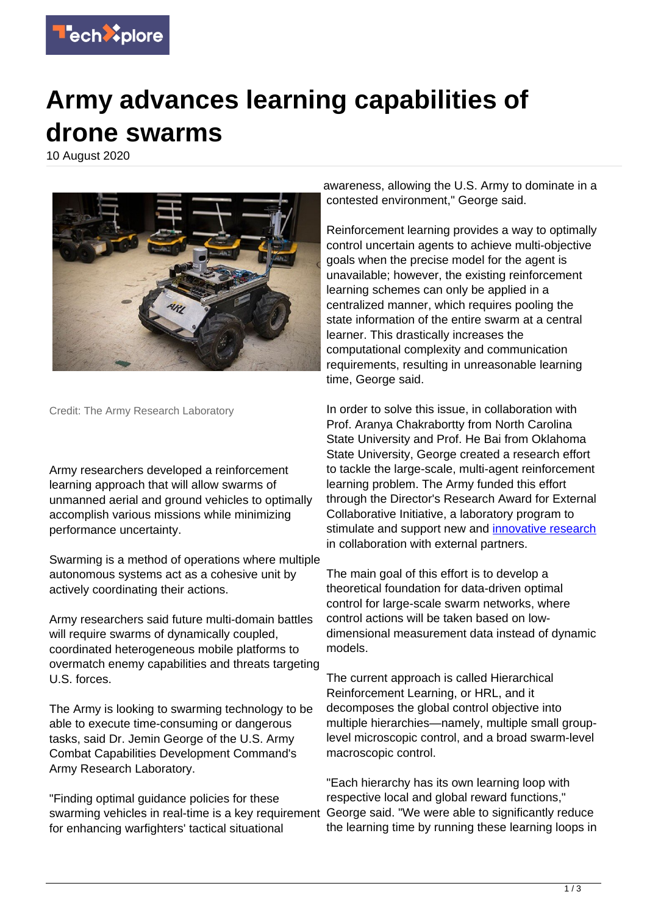

## **Army advances learning capabilities of drone swarms**

10 August 2020



Credit: The Army Research Laboratory

Army researchers developed a reinforcement learning approach that will allow swarms of unmanned aerial and ground vehicles to optimally accomplish various missions while minimizing performance uncertainty.

Swarming is a method of operations where multiple autonomous systems act as a cohesive unit by actively coordinating their actions.

Army researchers said future multi-domain battles will require swarms of dynamically coupled, coordinated heterogeneous mobile platforms to overmatch enemy capabilities and threats targeting U.S. forces.

The Army is looking to swarming technology to be able to execute time-consuming or dangerous tasks, said Dr. Jemin George of the U.S. Army Combat Capabilities Development Command's Army Research Laboratory.

"Finding optimal guidance policies for these swarming vehicles in real-time is a key requirement for enhancing warfighters' tactical situational

awareness, allowing the U.S. Army to dominate in a contested environment," George said.

Reinforcement learning provides a way to optimally control uncertain agents to achieve multi-objective goals when the precise model for the agent is unavailable; however, the existing reinforcement learning schemes can only be applied in a centralized manner, which requires pooling the state information of the entire swarm at a central learner. This drastically increases the computational complexity and communication requirements, resulting in unreasonable learning time, George said.

In order to solve this issue, in collaboration with Prof. Aranya Chakrabortty from North Carolina State University and Prof. He Bai from Oklahoma State University, George created a research effort to tackle the large-scale, multi-agent reinforcement learning problem. The Army funded this effort through the Director's Research Award for External Collaborative Initiative, a laboratory program to stimulate and support new and [innovative research](https://techxplore.com/tags/innovative+research/) in collaboration with external partners.

The main goal of this effort is to develop a theoretical foundation for data-driven optimal control for large-scale swarm networks, where control actions will be taken based on lowdimensional measurement data instead of dynamic models.

The current approach is called Hierarchical Reinforcement Learning, or HRL, and it decomposes the global control objective into multiple hierarchies—namely, multiple small grouplevel microscopic control, and a broad swarm-level macroscopic control.

"Each hierarchy has its own learning loop with respective local and global reward functions," George said. "We were able to significantly reduce the learning time by running these learning loops in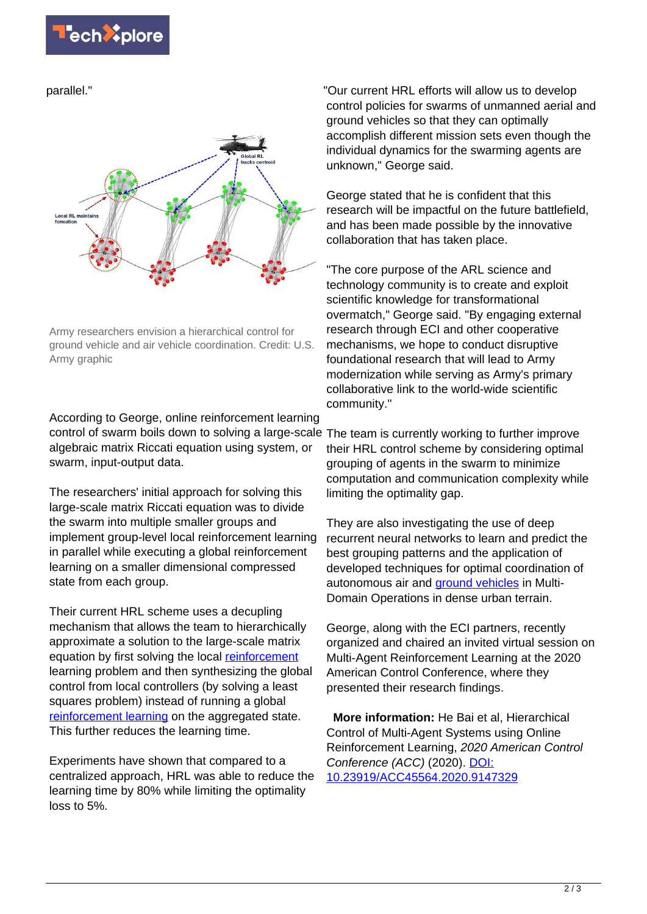parallel."



Army researchers envision a hierarchical control for ground vehicle and air vehicle coordination. Credit: U.S. Army graphic

According to George, online reinforcement learning control of swarm boils down to solving a large-scale The team is currently working to further improve algebraic matrix Riccati equation using system, or swarm, input-output data.

The researchers' initial approach for solving this large-scale matrix Riccati equation was to divide the swarm into multiple smaller groups and implement group-level local reinforcement learning in parallel while executing a global reinforcement learning on a smaller dimensional compressed state from each group.

Their current HRL scheme uses a decupling mechanism that allows the team to hierarchically approximate a solution to the large-scale matrix equation by first solving the local [reinforcement](https://techxplore.com/tags/reinforcement/) learning problem and then synthesizing the global control from local controllers (by solving a least squares problem) instead of running a global [reinforcement learning](https://techxplore.com/tags/reinforcement+learning/) on the aggregated state. This further reduces the learning time.

Experiments have shown that compared to a centralized approach, HRL was able to reduce the learning time by 80% while limiting the optimality loss to 5%.

"Our current HRL efforts will allow us to develop control policies for swarms of unmanned aerial and ground vehicles so that they can optimally accomplish different mission sets even though the individual dynamics for the swarming agents are unknown," George said.

George stated that he is confident that this research will be impactful on the future battlefield, and has been made possible by the innovative collaboration that has taken place.

"The core purpose of the ARL science and technology community is to create and exploit scientific knowledge for transformational overmatch," George said. "By engaging external research through ECI and other cooperative mechanisms, we hope to conduct disruptive foundational research that will lead to Army modernization while serving as Army's primary collaborative link to the world-wide scientific community."

their HRL control scheme by considering optimal grouping of agents in the swarm to minimize computation and communication complexity while limiting the optimality gap.

They are also investigating the use of deep recurrent neural networks to learn and predict the best grouping patterns and the application of developed techniques for optimal coordination of autonomous air and [ground vehicles](https://techxplore.com/tags/ground+vehicles/) in Multi-Domain Operations in dense urban terrain.

George, along with the ECI partners, recently organized and chaired an invited virtual session on Multi-Agent Reinforcement Learning at the 2020 American Control Conference, where they presented their research findings.

 **More information:** He Bai et al, Hierarchical Control of Multi-Agent Systems using Online Reinforcement Learning, 2020 American Control Conference (ACC) (2020). [DOI:](http://dx.doi.org/10.23919/ACC45564.2020.9147329) [10.23919/ACC45564.2020.9147329](http://dx.doi.org/10.23919/ACC45564.2020.9147329)